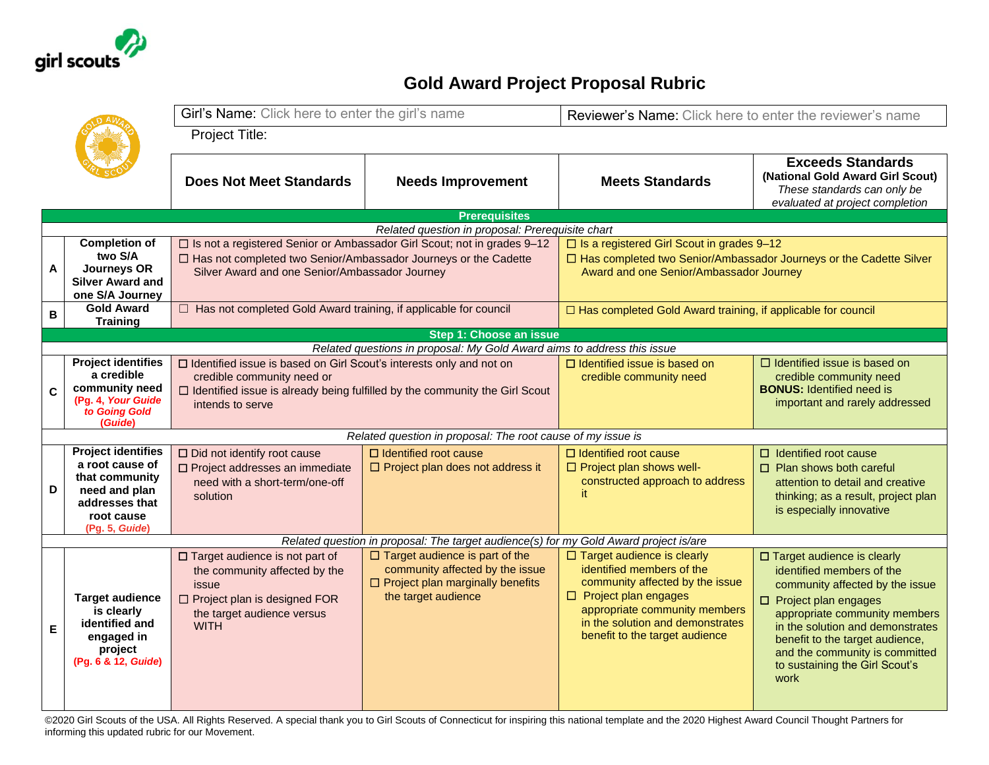

## **Gold Award Project Proposal Rubric**

|                                                                          |                                                                                                                                   | Girl's Name: Click here to enter the girl's name                                                                                                                                                              |                                                                                                                                            | Reviewer's Name: Click here to enter the reviewer's name                                                                                                                                                                                |                                                                                                                                                                                                                                                                                                            |  |  |  |  |
|--------------------------------------------------------------------------|-----------------------------------------------------------------------------------------------------------------------------------|---------------------------------------------------------------------------------------------------------------------------------------------------------------------------------------------------------------|--------------------------------------------------------------------------------------------------------------------------------------------|-----------------------------------------------------------------------------------------------------------------------------------------------------------------------------------------------------------------------------------------|------------------------------------------------------------------------------------------------------------------------------------------------------------------------------------------------------------------------------------------------------------------------------------------------------------|--|--|--|--|
|                                                                          |                                                                                                                                   | <b>Project Title:</b>                                                                                                                                                                                         |                                                                                                                                            |                                                                                                                                                                                                                                         |                                                                                                                                                                                                                                                                                                            |  |  |  |  |
|                                                                          |                                                                                                                                   | <b>Does Not Meet Standards</b>                                                                                                                                                                                | <b>Needs Improvement</b>                                                                                                                   | <b>Meets Standards</b>                                                                                                                                                                                                                  | <b>Exceeds Standards</b><br>(National Gold Award Girl Scout)<br>These standards can only be<br>evaluated at project completion                                                                                                                                                                             |  |  |  |  |
| <b>Prerequisites</b><br>Related question in proposal: Prerequisite chart |                                                                                                                                   |                                                                                                                                                                                                               |                                                                                                                                            |                                                                                                                                                                                                                                         |                                                                                                                                                                                                                                                                                                            |  |  |  |  |
| A                                                                        | <b>Completion of</b><br>two S/A<br><b>Journeys OR</b><br><b>Silver Award and</b><br>one S/A Journey                               | □ Is not a registered Senior or Ambassador Girl Scout; not in grades 9-12<br>□ Has not completed two Senior/Ambassador Journeys or the Cadette<br>Silver Award and one Senior/Ambassador Journey              |                                                                                                                                            | □ Is a registered Girl Scout in grades 9-12<br>□ Has completed two Senior/Ambassador Journeys or the Cadette Silver<br>Award and one Senior/Ambassador Journey                                                                          |                                                                                                                                                                                                                                                                                                            |  |  |  |  |
| B                                                                        | <b>Gold Award</b><br><b>Training</b>                                                                                              | □ Has not completed Gold Award training, if applicable for council                                                                                                                                            |                                                                                                                                            | $\Box$ Has completed Gold Award training, if applicable for council                                                                                                                                                                     |                                                                                                                                                                                                                                                                                                            |  |  |  |  |
|                                                                          | Step 1: Choose an issue                                                                                                           |                                                                                                                                                                                                               |                                                                                                                                            |                                                                                                                                                                                                                                         |                                                                                                                                                                                                                                                                                                            |  |  |  |  |
|                                                                          |                                                                                                                                   |                                                                                                                                                                                                               | Related questions in proposal: My Gold Award aims to address this issue                                                                    |                                                                                                                                                                                                                                         |                                                                                                                                                                                                                                                                                                            |  |  |  |  |
| C                                                                        | <b>Project identifies</b><br>a credible<br>community need<br>(Pg. 4, Your Guide<br>to Going Gold<br>(Guide)                       | □ Identified issue is based on Girl Scout's interests only and not on<br>credible community need or<br>$\Box$ Identified issue is already being fulfilled by the community the Girl Scout<br>intends to serve |                                                                                                                                            | $\Box$ Identified issue is based on<br>credible community need                                                                                                                                                                          | $\Box$ Identified issue is based on<br>credible community need<br><b>BONUS:</b> Identified need is<br>important and rarely addressed                                                                                                                                                                       |  |  |  |  |
|                                                                          |                                                                                                                                   |                                                                                                                                                                                                               | Related question in proposal: The root cause of my issue is                                                                                |                                                                                                                                                                                                                                         |                                                                                                                                                                                                                                                                                                            |  |  |  |  |
| D                                                                        | <b>Project identifies</b><br>a root cause of<br>that community<br>need and plan<br>addresses that<br>root cause<br>(Pg. 5, Guide) | $\Box$ Did not identify root cause<br>□ Project addresses an immediate<br>need with a short-term/one-off<br>solution                                                                                          | $\Box$ Identified root cause<br>$\Box$ Project plan does not address it                                                                    | $\Box$ Identified root cause<br>$\Box$ Project plan shows well-<br>constructed approach to address<br>it.                                                                                                                               | $\Box$ Identified root cause<br>$\Box$ Plan shows both careful<br>attention to detail and creative<br>thinking; as a result, project plan<br>is especially innovative                                                                                                                                      |  |  |  |  |
|                                                                          |                                                                                                                                   |                                                                                                                                                                                                               | Related question in proposal: The target audience(s) for my Gold Award project is/are                                                      |                                                                                                                                                                                                                                         |                                                                                                                                                                                                                                                                                                            |  |  |  |  |
| E                                                                        | <b>Target audience</b><br>is clearly<br>identified and<br>engaged in<br>project<br>(Pg. 6 & 12, Guide)                            | □ Target audience is not part of<br>the community affected by the<br>issue<br>$\Box$ Project plan is designed FOR<br>the target audience versus<br><b>WITH</b>                                                | $\Box$ Target audience is part of the<br>community affected by the issue<br>$\Box$ Project plan marginally benefits<br>the target audience | $\Box$ Target audience is clearly<br>identified members of the<br>community affected by the issue<br>$\Box$ Project plan engages<br>appropriate community members<br>in the solution and demonstrates<br>benefit to the target audience | □ Target audience is clearly<br>identified members of the<br>community affected by the issue<br>□ Project plan engages<br>appropriate community members<br>in the solution and demonstrates<br>benefit to the target audience,<br>and the community is committed<br>to sustaining the Girl Scout's<br>work |  |  |  |  |

©2020 Girl Scouts of the USA. All Rights Reserved. A special thank you to Girl Scouts of Connecticut for inspiring this national template and the 2020 Highest Award Council Thought Partners for informing this updated rubric for our Movement.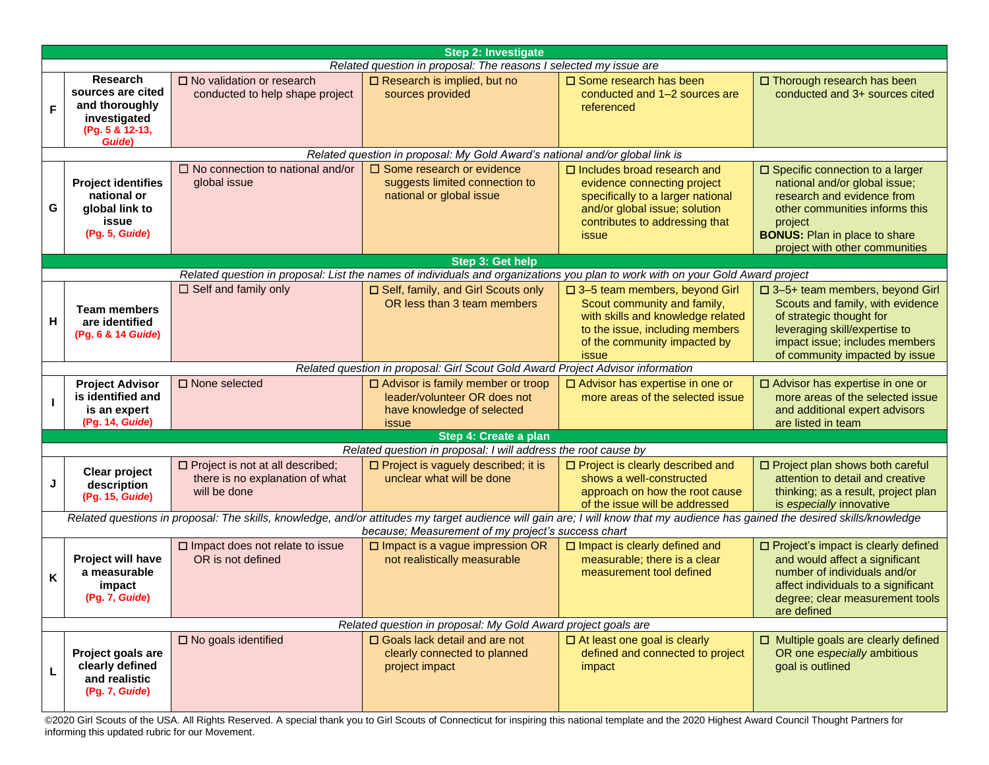| <b>Step 2: Investigate</b>                                                                                                                                                                                                          |                                                                                                     |                                                                                            |                                                                                                                                |                                                                                                                                                                                       |                                                                                                                                                                                                                                 |  |  |  |  |
|-------------------------------------------------------------------------------------------------------------------------------------------------------------------------------------------------------------------------------------|-----------------------------------------------------------------------------------------------------|--------------------------------------------------------------------------------------------|--------------------------------------------------------------------------------------------------------------------------------|---------------------------------------------------------------------------------------------------------------------------------------------------------------------------------------|---------------------------------------------------------------------------------------------------------------------------------------------------------------------------------------------------------------------------------|--|--|--|--|
| Related question in proposal: The reasons I selected my issue are                                                                                                                                                                   |                                                                                                     |                                                                                            |                                                                                                                                |                                                                                                                                                                                       |                                                                                                                                                                                                                                 |  |  |  |  |
| F                                                                                                                                                                                                                                   | <b>Research</b><br>sources are cited<br>and thoroughly<br>investigated<br>(Pg. 5 & 12-13,<br>Guide) | $\Box$ No validation or research<br>conducted to help shape project                        | $\Box$ Research is implied, but no<br>sources provided                                                                         | $\square$ Some research has been<br>conducted and 1-2 sources are<br>referenced                                                                                                       | $\Box$ Thorough research has been<br>conducted and 3+ sources cited                                                                                                                                                             |  |  |  |  |
|                                                                                                                                                                                                                                     | Related question in proposal: My Gold Award's national and/or global link is                        |                                                                                            |                                                                                                                                |                                                                                                                                                                                       |                                                                                                                                                                                                                                 |  |  |  |  |
| G                                                                                                                                                                                                                                   | <b>Project identifies</b><br>national or<br>global link to<br>issue<br>(Pg. 5, Guide)               | $\Box$ No connection to national and/or<br>global issue                                    | $\square$ Some research or evidence<br>suggests limited connection to<br>national or global issue                              | $\square$ Includes broad research and<br>evidence connecting project<br>specifically to a larger national<br>and/or global issue; solution<br>contributes to addressing that<br>issue | $\square$ Specific connection to a larger<br>national and/or global issue;<br>research and evidence from<br>other communities informs this<br>project<br><b>BONUS:</b> Plan in place to share<br>project with other communities |  |  |  |  |
|                                                                                                                                                                                                                                     |                                                                                                     |                                                                                            | Step 3: Get help                                                                                                               |                                                                                                                                                                                       |                                                                                                                                                                                                                                 |  |  |  |  |
|                                                                                                                                                                                                                                     |                                                                                                     |                                                                                            | Related question in proposal: List the names of individuals and organizations you plan to work with on your Gold Award project |                                                                                                                                                                                       |                                                                                                                                                                                                                                 |  |  |  |  |
| Н                                                                                                                                                                                                                                   | <b>Team members</b><br>are identified<br>(Pg. 6 & 14 Guide)                                         | $\Box$ Self and family only                                                                | □ Self, family, and Girl Scouts only<br>OR less than 3 team members                                                            | □ 3-5 team members, beyond Girl<br>Scout community and family,<br>with skills and knowledge related<br>to the issue, including members<br>of the community impacted by<br>issue       | $\Box$ 3-5+ team members, beyond Girl<br>Scouts and family, with evidence<br>of strategic thought for<br>leveraging skill/expertise to<br>impact issue; includes members<br>of community impacted by issue                      |  |  |  |  |
|                                                                                                                                                                                                                                     |                                                                                                     |                                                                                            | Related question in proposal: Girl Scout Gold Award Project Advisor information                                                |                                                                                                                                                                                       |                                                                                                                                                                                                                                 |  |  |  |  |
|                                                                                                                                                                                                                                     | <b>Project Advisor</b><br>is identified and<br>is an expert<br>(Pg. 14, Guide)                      | $\Box$ None selected                                                                       | $\Box$ Advisor is family member or troop<br>leader/volunteer OR does not<br>have knowledge of selected<br><i>issue</i>         | □ Advisor has expertise in one or<br>more areas of the selected issue                                                                                                                 | □ Advisor has expertise in one or<br>more areas of the selected issue<br>and additional expert advisors<br>are listed in team                                                                                                   |  |  |  |  |
|                                                                                                                                                                                                                                     |                                                                                                     |                                                                                            | Step 4: Create a plan                                                                                                          |                                                                                                                                                                                       |                                                                                                                                                                                                                                 |  |  |  |  |
|                                                                                                                                                                                                                                     |                                                                                                     |                                                                                            | Related question in proposal: I will address the root cause by                                                                 |                                                                                                                                                                                       |                                                                                                                                                                                                                                 |  |  |  |  |
| J                                                                                                                                                                                                                                   | <b>Clear project</b><br>description<br>(Pg. 15, Guide)                                              | $\Box$ Project is not at all described;<br>there is no explanation of what<br>will be done | $\Box$ Project is vaguely described; it is<br>unclear what will be done                                                        | □ Project is clearly described and<br>shows a well-constructed<br>approach on how the root cause<br>of the issue will be addressed                                                    | $\Box$ Project plan shows both careful<br>attention to detail and creative<br>thinking; as a result, project plan<br>is especially innovative                                                                                   |  |  |  |  |
| Related questions in proposal: The skills, knowledge, and/or attitudes my target audience will gain are; I will know that my audience has gained the desired skills/knowledge<br>because; Measurement of my project's success chart |                                                                                                     |                                                                                            |                                                                                                                                |                                                                                                                                                                                       |                                                                                                                                                                                                                                 |  |  |  |  |
| K                                                                                                                                                                                                                                   | Project will have<br>a measurable<br>impact<br>(Pg. 7, Guide)                                       | $\square$ Impact does not relate to issue<br>OR is not defined                             | $\square$ Impact is a vague impression OR<br>not realistically measurable                                                      | $\square$ Impact is clearly defined and<br>measurable; there is a clear<br>measurement tool defined                                                                                   | □ Project's impact is clearly defined<br>and would affect a significant<br>number of individuals and/or<br>affect individuals to a significant<br>degree; clear measurement tools<br>are defined                                |  |  |  |  |
| Related question in proposal: My Gold Award project goals are                                                                                                                                                                       |                                                                                                     |                                                                                            |                                                                                                                                |                                                                                                                                                                                       |                                                                                                                                                                                                                                 |  |  |  |  |
| L                                                                                                                                                                                                                                   | Project goals are<br>clearly defined<br>and realistic<br>(Pg. 7, Guide)                             | $\square$ No goals identified                                                              | $\Box$ Goals lack detail and are not<br>clearly connected to planned<br>project impact                                         | $\Box$ At least one goal is clearly<br>defined and connected to project<br>impact                                                                                                     | $\Box$ Multiple goals are clearly defined<br>OR one especially ambitious<br>goal is outlined                                                                                                                                    |  |  |  |  |

©2020 Girl Scouts of the USA. All Rights Reserved. A special thank you to Girl Scouts of Connecticut for inspiring this national template and the 2020 Highest Award Council Thought Partners for informing this updated rubric for our Movement.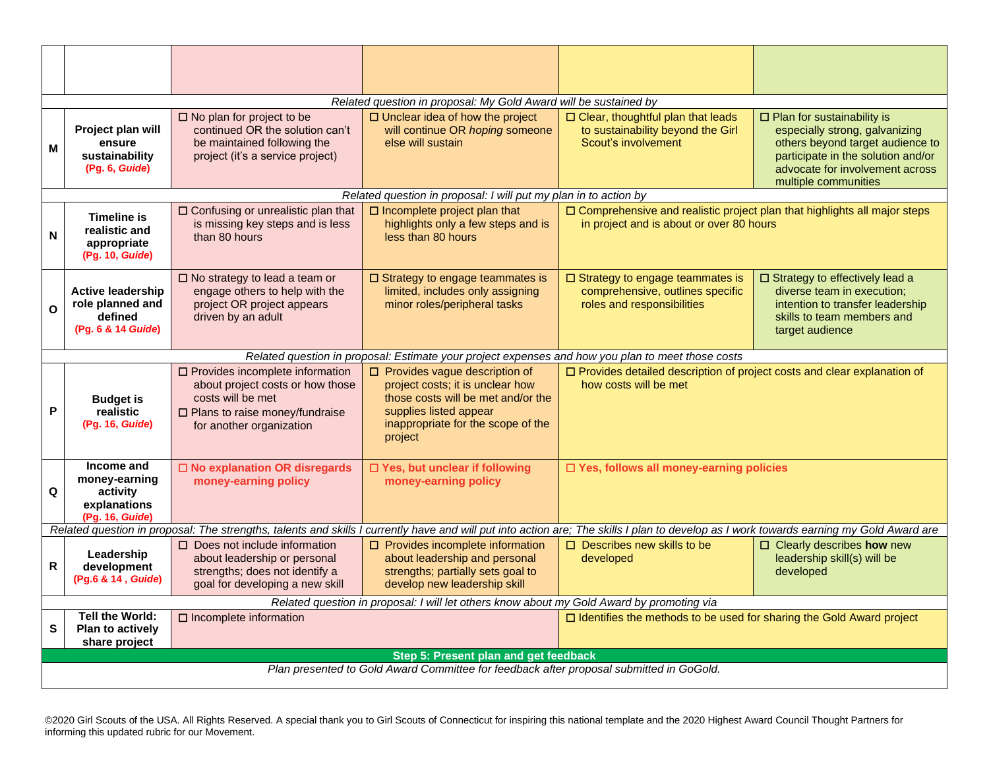| Related question in proposal: My Gold Award will be sustained by                                                                                                                        |                                                                                                   |                                                                                                                                                                            |                                                                                                                                                                                           |                                                                                                                                |                                                                                                                                                                                                     |  |  |  |
|-----------------------------------------------------------------------------------------------------------------------------------------------------------------------------------------|---------------------------------------------------------------------------------------------------|----------------------------------------------------------------------------------------------------------------------------------------------------------------------------|-------------------------------------------------------------------------------------------------------------------------------------------------------------------------------------------|--------------------------------------------------------------------------------------------------------------------------------|-----------------------------------------------------------------------------------------------------------------------------------------------------------------------------------------------------|--|--|--|
| M                                                                                                                                                                                       | Project plan will<br>ensure<br>sustainability<br>(Pg. 6, Guide)                                   | $\square$ No plan for project to be<br>continued OR the solution can't<br>be maintained following the<br>project (it's a service project)                                  | $\Box$ Unclear idea of how the project<br>will continue OR hoping someone<br>else will sustain                                                                                            | $\square$ Clear, thoughtful plan that leads<br>to sustainability beyond the Girl<br>Scout's involvement                        | □ Plan for sustainability is<br>especially strong, galvanizing<br>others beyond target audience to<br>participate in the solution and/or<br>advocate for involvement across<br>multiple communities |  |  |  |
|                                                                                                                                                                                         |                                                                                                   |                                                                                                                                                                            | Related question in proposal: I will put my plan in to action by                                                                                                                          |                                                                                                                                |                                                                                                                                                                                                     |  |  |  |
| N                                                                                                                                                                                       | <b>Timeline is</b><br>realistic and<br>appropriate<br>(Pg. 10, Guide)                             | □ Confusing or unrealistic plan that<br>is missing key steps and is less<br>than 80 hours                                                                                  | $\square$ Incomplete project plan that<br>highlights only a few steps and is<br>less than 80 hours                                                                                        | $\square$ Comprehensive and realistic project plan that highlights all major steps<br>in project and is about or over 80 hours |                                                                                                                                                                                                     |  |  |  |
| $\mathbf{o}$                                                                                                                                                                            | <b>Active leadership</b><br>role planned and<br>defined<br>(Pq. 6 & 14 Guide)                     | $\square$ No strategy to lead a team or<br>engage others to help with the<br>project OR project appears<br>driven by an adult                                              | $\square$ Strategy to engage teammates is<br>limited, includes only assigning<br>minor roles/peripheral tasks                                                                             | $\square$ Strategy to engage teammates is<br>comprehensive, outlines specific<br>roles and responsibilities                    | □ Strategy to effectively lead a<br>diverse team in execution;<br>intention to transfer leadership<br>skills to team members and<br>target audience                                                 |  |  |  |
|                                                                                                                                                                                         | Related question in proposal: Estimate your project expenses and how you plan to meet those costs |                                                                                                                                                                            |                                                                                                                                                                                           |                                                                                                                                |                                                                                                                                                                                                     |  |  |  |
| P                                                                                                                                                                                       | <b>Budget is</b><br>realistic<br>(Pg. 16, Guide)                                                  | $\square$ Provides incomplete information<br>about project costs or how those<br>costs will be met<br>$\square$ Plans to raise money/fundraise<br>for another organization | $\Box$ Provides vague description of<br>project costs; it is unclear how<br>those costs will be met and/or the<br>supplies listed appear<br>inappropriate for the scope of the<br>project | how costs will be met                                                                                                          | □ Provides detailed description of project costs and clear explanation of                                                                                                                           |  |  |  |
| Q                                                                                                                                                                                       | Income and<br>money-earning<br>activity<br>explanations<br>(Pg. 16, Guide)                        | □ No explanation OR disregards<br>money-earning policy                                                                                                                     | □ Yes, but unclear if following<br>money-earning policy                                                                                                                                   | □ Yes, follows all money-earning policies                                                                                      |                                                                                                                                                                                                     |  |  |  |
| Related question in proposal: The strengths, talents and skills I currently have and will put into action are; The skills I plan to develop as I work towards earning my Gold Award are |                                                                                                   |                                                                                                                                                                            |                                                                                                                                                                                           |                                                                                                                                |                                                                                                                                                                                                     |  |  |  |
| $\mathsf{R}$                                                                                                                                                                            | Leadership<br>development<br>(Pg.6 & 14, Guide)                                                   | $\Box$ Does not include information<br>about leadership or personal<br>strengths; does not identify a<br>goal for developing a new skill                                   | $\Box$ Provides incomplete information<br>about leadership and personal<br>strengths; partially sets goal to<br>develop new leadership skill                                              | $\Box$ Describes new skills to be<br>developed                                                                                 | $\Box$ Clearly describes how new<br>leadership skill(s) will be<br>developed                                                                                                                        |  |  |  |
|                                                                                                                                                                                         | Related question in proposal: I will let others know about my Gold Award by promoting via         |                                                                                                                                                                            |                                                                                                                                                                                           |                                                                                                                                |                                                                                                                                                                                                     |  |  |  |
| $\mathbf{s}$                                                                                                                                                                            | Tell the World:<br>Plan to actively<br>share project                                              | $\square$ Incomplete information<br>$\Box$ Identifies the methods to be used for sharing the Gold Award project                                                            |                                                                                                                                                                                           |                                                                                                                                |                                                                                                                                                                                                     |  |  |  |
|                                                                                                                                                                                         | Step 5: Present plan and get feedback                                                             |                                                                                                                                                                            |                                                                                                                                                                                           |                                                                                                                                |                                                                                                                                                                                                     |  |  |  |
|                                                                                                                                                                                         | Plan presented to Gold Award Committee for feedback after proposal submitted in GoGold.           |                                                                                                                                                                            |                                                                                                                                                                                           |                                                                                                                                |                                                                                                                                                                                                     |  |  |  |